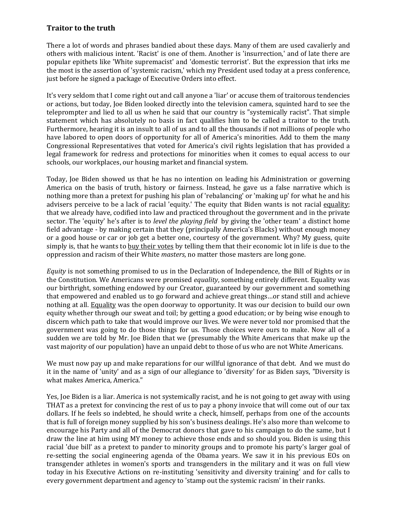## **Traitor to the truth**

There a lot of words and phrases bandied about these days. Many of them are used cavalierly and others with malicious intent. 'Racist' is one of them. Another is 'insurrection,' and of late there are popular epithets like 'White supremacist' and 'domestic terrorist'. But the expression that irks me the most is the assertion of 'systemic racism,' which my President used today at a press conference, just before he signed a package of Executive Orders into effect.

It's very seldom that I come right out and call anyone a 'liar' or accuse them of traitorous tendencies or actions, but today, Joe Biden looked directly into the television camera, squinted hard to see the teleprompter and lied to all us when he said that our country is "systemically racist". That simple statement which has absolutely no basis in fact qualifies him to be called a traitor to the truth. Furthermore, hearing it is an insult to all of us and to all the thousands if not millions of people who have labored to open doors of opportunity for all of America's minorities. Add to them the many Congressional Representatives that voted for America's civil rights legislation that has provided a legal framework for redress and protections for minorities when it comes to equal access to our schools, our workplaces, our housing market and financial system.

Today, Joe Biden showed us that he has no intention on leading his Administration or governing America on the basis of truth, history or fairness. Instead, he gave us a false narrative which is nothing more than a pretext for pushing his plan of 'rebalancing' or 'making up' for what he and his advisers perceive to be a lack of racial 'equity.' The equity that Biden wants is not racial equality; that we already have, codified into law and practiced throughout the government and in the private sector. The 'equity' he's after is to *level the playing field* by giving the 'other team' a distinct home field advantage - by making certain that they (principally America's Blacks) without enough money or a good house or car or job get a better one, courtesy of the government. Why? My guess, quite simply is, that he wants to buy their votes by telling them that their economic lot in life is due to the oppression and racism of their White *masters*, no matter those masters are long gone.

*Equity* is not something promised to us in the Declaration of Independence, the Bill of Rights or in the Constitution. We Americans were promised *equality*, something entirely different. Equality was our birthright, something endowed by our Creator, guaranteed by our government and something that empowered and enabled us to go forward and achieve great things…or stand still and achieve nothing at all. Equality was the open doorway to opportunity. It was our decision to build our own equity whether through our sweat and toil; by getting a good education; or by being wise enough to discern which path to take that would improve our lives. We were never told nor promised that the government was going to do those things for us. Those choices were ours to make. Now all of a sudden we are told by Mr. Joe Biden that we (presumably the White Americans that make up the vast majority of our population) have an unpaid debt to those of us who are not White Americans.

We must now pay up and make reparations for our willful ignorance of that debt. And we must do it in the name of 'unity' and as a sign of our allegiance to 'diversity' for as Biden says, "Diversity is what makes America, America."

Yes, Joe Biden is a liar. America is not systemically racist, and he is not going to get away with using THAT as a pretext for convincing the rest of us to pay a phony invoice that will come out of our tax dollars. If he feels so indebted, he should write a check, himself, perhaps from one of the accounts that is full of foreign money supplied by his son's business dealings. He's also more than welcome to encourage his Party and all of the Democrat donors that gave to his campaign to do the same, but I draw the line at him using MY money to achieve those ends and so should you. Biden is using this racial 'due bill' as a pretext to pander to minority groups and to promote his party's larger goal of re-setting the social engineering agenda of the Obama years. We saw it in his previous EOs on transgender athletes in women's sports and transgenders in the military and it was on full view today in his Executive Actions on re-instituting 'sensitivity and diversity training' and for calls to every government department and agency to 'stamp out the systemic racism' in their ranks.